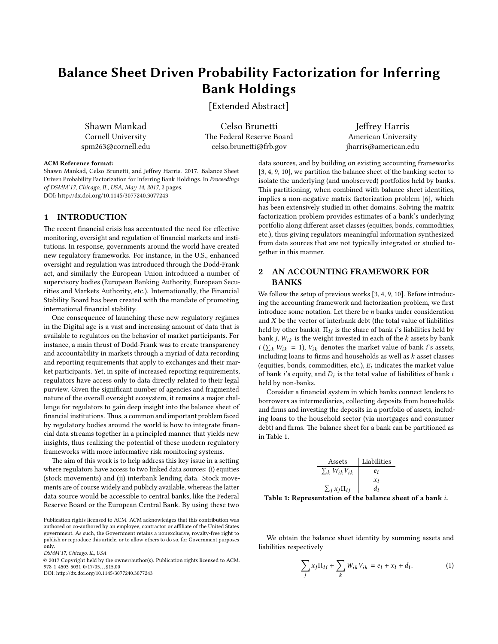# Balance Sheet Driven Probability Factorization for Inferring Bank Holdings

[Extended Abstract]

Shawn Mankad Cornell University spm263@cornell.edu

Celso Brunetti The Federal Reserve Board celso.brunetti@frb.gov

Jeffrey Harris American University jharris@american.edu

## ACM Reference format:

Shawn Mankad, Celso Brunetti, and Jeffrey Harris. 2017. Balance Sheet Driven Probability Factorization for Inferring Bank Holdings. In Proceedings of DSMM'17, Chicago, IL, USA, May 14, 2017, [2](#page-1-0) pages. DOI: http://dx.doi.org/10.1145/3077240.3077243

## 1 INTRODUCTION

The recent financial crisis has accentuated the need for effective monitoring, oversight and regulation of financial markets and institutions. In response, governments around the world have created new regulatory frameworks. For instance, in the U.S., enhanced oversight and regulation was introduced through the Dodd-Frank act, and similarly the European Union introduced a number of supervisory bodies (European Banking Authority, European Securities and Markets Authority, etc.). Internationally, the Financial Stability Board has been created with the mandate of promoting international financial stability.

One consequence of launching these new regulatory regimes in the Digital age is a vast and increasing amount of data that is available to regulators on the behavior of market participants. For instance, a main thrust of Dodd-Frank was to create transparency and accountability in markets through a myriad of data recording and reporting requirements that apply to exchanges and their market participants. Yet, in spite of increased reporting requirements, regulators have access only to data directly related to their legal purview. Given the significant number of agencies and fragmented nature of the overall oversight ecosystem, it remains a major challenge for regulators to gain deep insight into the balance sheet of financial institutions. Thus, a common and important problem faced by regulatory bodies around the world is how to integrate financial data streams together in a principled manner that yields new insights, thus realizing the potential of these modern regulatory frameworks with more informative risk monitoring systems.

The aim of this work is to help address this key issue in a setting where regulators have access to two linked data sources: (i) equities (stock movements) and (ii) interbank lending data. Stock movements are of course widely and publicly available, whereas the latter data source would be accessible to central banks, like the Federal Reserve Board or the European Central Bank. By using these two

DSMM'17, Chicago, IL, USA

DOI: http://dx.doi.org/10.1145/3077240.3077243

data sources, and by building on existing accounting frameworks [\[3,](#page-1-1) [4,](#page-1-2) [9,](#page-1-3) [10\]](#page-1-4), we partition the balance sheet of the banking sector to isolate the underlying (and unobserved) portfolios held by banks. This partitioning, when combined with balance sheet identities, implies a non-negative matrix factorization problem [\[6\]](#page-1-5), which has been extensively studied in other domains. Solving the matrix factorization problem provides estimates of a bank's underlying portfolio along different asset classes (equities, bonds, commodities, etc.), thus giving regulators meaningful information synthesized from data sources that are not typically integrated or studied together in this manner.

# 2 AN ACCOUNTING FRAMEWORK FOR BANKS

We follow the setup of previous works [\[3,](#page-1-1) [4,](#page-1-2) [9,](#page-1-3) [10\]](#page-1-4). Before introducing the accounting framework and factorization problem, we first introduce some notation. Let there be n banks under consideration and  $X$  be the vector of interbank debt (the total value of liabilities held by other banks).  $\Pi_{ij}$  is the share of bank *i*'s liabilities held by bank  $j$ ,  $W_{ik}$  is the weight invested in each of the  $k$  assets by bank  $i$  ( $\sum_{k} W_{ik} = 1$ ),  $V_{ik}$  denotes the market value of bank *i*'s assets, including loops to firms and bouseholds as well as *k* asset classes including loans to firms and households as well as  $k$  asset classes (equities, bonds, commodities, etc.),  $E_i$  indicates the market value<br>of bank i's equity, and  $D_i$  is the total value of liabilities of bank i of bank *i*'s equity, and  $D_i$  is the total value of liabilities of bank *i*<br>held by non-banks held by non-banks.

Consider a financial system in which banks connect lenders to borrowers as intermediaries, collecting deposits from households and firms and investing the deposits in a portfolio of assets, including loans to the household sector (via mortgages and consumer debt) and firms. The balance sheet for a bank can be partitioned as in Table [1.](#page-0-0)

<span id="page-0-0"></span>

|                                                             |                             | Assets Liabilities |  |
|-------------------------------------------------------------|-----------------------------|--------------------|--|
|                                                             | $\sum_k W_{ik} V_{ik}$      | $e_i$              |  |
|                                                             |                             | $x_i$              |  |
|                                                             | $\sum_j x_j \Pi_{ij}$ $d_i$ |                    |  |
| Table 1: Representation of the balance sheet of a bank $i.$ |                             |                    |  |
|                                                             |                             |                    |  |

We obtain the balance sheet identity by summing assets and liabilities respectively

$$
\sum_{j} x_j \Pi_{ij} + \sum_{k} W_{ik} V_{ik} = e_i + x_i + d_i.
$$
 (1)

Publication rights licensed to ACM. ACM acknowledges that this contribution was authored or co-authored by an employee, contractor or affiliate of the United States government. As such, the Government retains a nonexclusive, royalty-free right to publish or reproduce this article, or to allow others to do so, for Government purposes only.

<sup>©</sup> 2017 Copyright held by the owner/author(s). Publication rights licensed to ACM.  $978 - 1 - 4503 - 5031 - 0/17/05...$ \$15.00